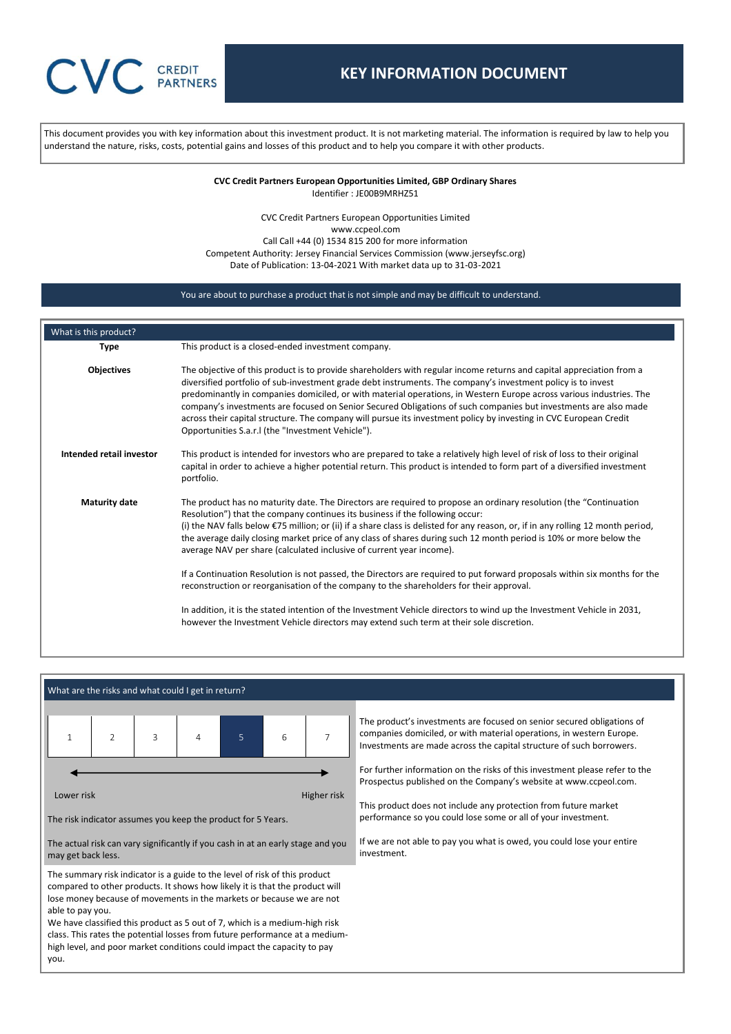# **CREDIT PARTNERS**

## **KEY INFORMATION DOCUMENT**

This document provides you with key information about this investment product. It is not marketing material. The information is required by law to help you understand the nature, risks, costs, potential gains and losses of this product and to help you compare it with other products.

> **CVC Credit Partners European Opportunities Limited, GBP Ordinary Shares** Identifier : JE00B9MRHZ51

CVC Credit Partners European Opportunities Limited www.ccpeol.com Call Call +44 (0) 1534 815 200 for more information Competent Authority: Jersey Financial Services Commission (www.jerseyfsc.org) Date of Publication: 13-04-2021 With market data up to 31-03-2021

#### You are about to purchase a product that is not simple and may be difficult to understand.

| What is this product?    |                                                                                                                                                                                                                                                                                                                                                                                                                                                                                                                                                                                                                                                                                                                                                                                                                                                                                                                                                                                             |
|--------------------------|---------------------------------------------------------------------------------------------------------------------------------------------------------------------------------------------------------------------------------------------------------------------------------------------------------------------------------------------------------------------------------------------------------------------------------------------------------------------------------------------------------------------------------------------------------------------------------------------------------------------------------------------------------------------------------------------------------------------------------------------------------------------------------------------------------------------------------------------------------------------------------------------------------------------------------------------------------------------------------------------|
| <b>Type</b>              | This product is a closed-ended investment company.                                                                                                                                                                                                                                                                                                                                                                                                                                                                                                                                                                                                                                                                                                                                                                                                                                                                                                                                          |
| <b>Objectives</b>        | The objective of this product is to provide shareholders with regular income returns and capital appreciation from a<br>diversified portfolio of sub-investment grade debt instruments. The company's investment policy is to invest<br>predominantly in companies domiciled, or with material operations, in Western Europe across various industries. The<br>company's investments are focused on Senior Secured Obligations of such companies but investments are also made<br>across their capital structure. The company will pursue its investment policy by investing in CVC European Credit<br>Opportunities S.a.r.I (the "Investment Vehicle").                                                                                                                                                                                                                                                                                                                                    |
| Intended retail investor | This product is intended for investors who are prepared to take a relatively high level of risk of loss to their original<br>capital in order to achieve a higher potential return. This product is intended to form part of a diversified investment<br>portfolio.                                                                                                                                                                                                                                                                                                                                                                                                                                                                                                                                                                                                                                                                                                                         |
| <b>Maturity date</b>     | The product has no maturity date. The Directors are required to propose an ordinary resolution (the "Continuation"<br>Resolution") that the company continues its business if the following occur:<br>(i) the NAV falls below $\epsilon$ 75 million; or (ii) if a share class is delisted for any reason, or, if in any rolling 12 month period,<br>the average daily closing market price of any class of shares during such 12 month period is 10% or more below the<br>average NAV per share (calculated inclusive of current year income).<br>If a Continuation Resolution is not passed, the Directors are required to put forward proposals within six months for the<br>reconstruction or reorganisation of the company to the shareholders for their approval.<br>In addition, it is the stated intention of the Investment Vehicle directors to wind up the Investment Vehicle in 2031,<br>however the Investment Vehicle directors may extend such term at their sole discretion. |

#### What are the risks and what could I get in return?



The risk indicator assumes you keep the product for 5 Years.

The actual risk can vary significantly if you cash in at an early stage and you may get back less.

The summary risk indicator is a guide to the level of risk of this product compared to other products. It shows how likely it is that the product will lose money because of movements in the markets or because we are not able to pay you.

We have classified this product as 5 out of 7, which is a medium-high risk class. This rates the potential losses from future performance at a mediumhigh level, and poor market conditions could impact the capacity to pay you.

The product's investments are focused on senior secured obligations of companies domiciled, or with material operations, in western Europe. Investments are made across the capital structure of such borrowers.

For further information on the risks of this investment please refer to the Prospectus published on the Company's website at [www.ccpeol.com.](http://www.ccpeol.com/)

This product does not include any protection from future market performance so you could lose some or all of your investment.

If we are not able to pay you what is owed, you could lose your entire investment.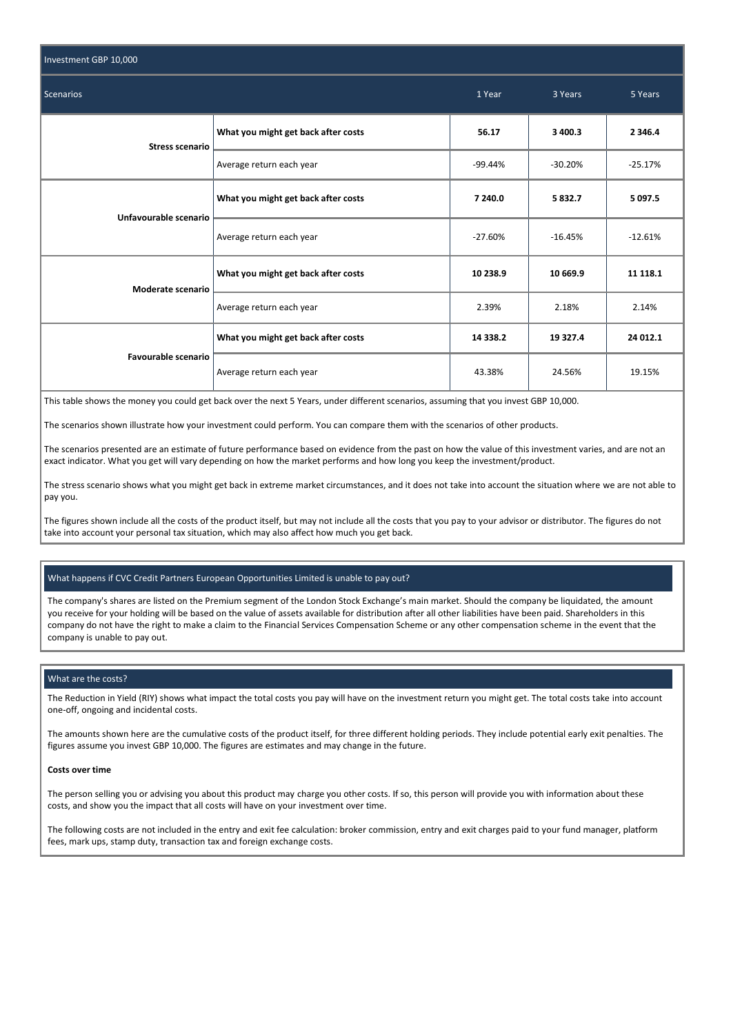| Investment GBP 10,000  |                                     |           |           |             |
|------------------------|-------------------------------------|-----------|-----------|-------------|
| Scenarios              | 1 Year                              | 3 Years   | 5 Years   |             |
| <b>Stress scenario</b> | What you might get back after costs | 56.17     | 3 400.3   | 2 3 4 6.4   |
|                        | Average return each year            | $-99.44%$ | $-30.20%$ | $-25.17%$   |
| Unfavourable scenario  | What you might get back after costs | 7 240.0   | 5832.7    | 5 0 9 7 . 5 |
|                        | Average return each year            | $-27.60%$ | $-16.45%$ | $-12.61%$   |
| Moderate scenario      | What you might get back after costs | 10 238.9  | 10 669.9  | 11 118.1    |
|                        | Average return each year            | 2.39%     | 2.18%     | 2.14%       |
| Favourable scenario    | What you might get back after costs | 14 3 38.2 | 19 327.4  | 24 012.1    |
|                        | Average return each year            | 43.38%    | 24.56%    | 19.15%      |

This table shows the money you could get back over the next 5 Years, under different scenarios, assuming that you invest GBP 10,000.

The scenarios shown illustrate how your investment could perform. You can compare them with the scenarios of other products.

The scenarios presented are an estimate of future performance based on evidence from the past on how the value of this investment varies, and are not an exact indicator. What you get will vary depending on how the market performs and how long you keep the investment/product.

The stress scenario shows what you might get back in extreme market circumstances, and it does not take into account the situation where we are not able to pay you.

The figures shown include all the costs of the product itself, but may not include all the costs that you pay to your advisor or distributor. The figures do not take into account your personal tax situation, which may also affect how much you get back.

#### What happens if CVC Credit Partners European Opportunities Limited is unable to pay out?

The company's shares are listed on the Premium segment of the London Stock Exchange's main market. Should the company be liquidated, the amount you receive for your holding will be based on the value of assets available for distribution after all other liabilities have been paid. Shareholders in this company do not have the right to make a claim to the Financial Services Compensation Scheme or any other compensation scheme in the event that the company is unable to pay out.

#### What are the costs?

The Reduction in Yield (RIY) shows what impact the total costs you pay will have on the investment return you might get. The total costs take into account one-off, ongoing and incidental costs.

The amounts shown here are the cumulative costs of the product itself, for three different holding periods. They include potential early exit penalties. The figures assume you invest GBP 10,000. The figures are estimates and may change in the future.

#### **Costs over time**

The person selling you or advising you about this product may charge you other costs. If so, this person will provide you with information about these costs, and show you the impact that all costs will have on your investment over time.

The following costs are not included in the entry and exit fee calculation: broker commission, entry and exit charges paid to your fund manager, platform fees, mark ups, stamp duty, transaction tax and foreign exchange costs.